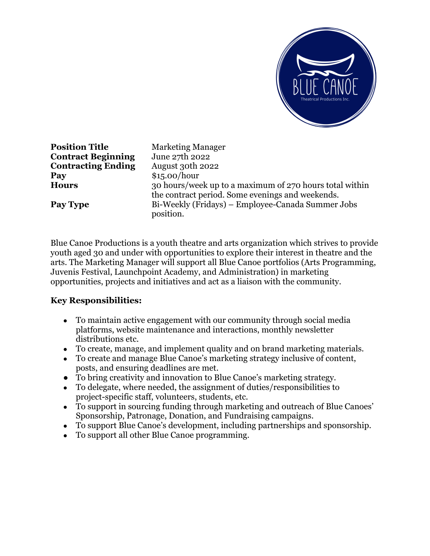

**Position Title** Marketing Manager **Contract Beginning** June 27th 2022 **Contracting Ending** August 30th 2022 **Pay** \$15.00/hour

**Hours** 30 hours/week up to a maximum of 270 hours total within the contract period. Some evenings and weekends. **Pay Type** Bi-Weekly (Fridays) – Employee-Canada Summer Jobs position.

Blue Canoe Productions is a youth theatre and arts organization which strives to provide youth aged 30 and under with opportunities to explore their interest in theatre and the arts. The Marketing Manager will support all Blue Canoe portfolios (Arts Programming, Juvenis Festival, Launchpoint Academy, and Administration) in marketing opportunities, projects and initiatives and act as a liaison with the community.

## **Key Responsibilities:**

- To maintain active engagement with our community through social media platforms, website maintenance and interactions, monthly newsletter distributions etc.
- To create, manage, and implement quality and on brand marketing materials.
- To create and manage Blue Canoe's marketing strategy inclusive of content, posts, and ensuring deadlines are met.
- To bring creativity and innovation to Blue Canoe's marketing strategy.
- To delegate, where needed, the assignment of duties/responsibilities to project-specific staff, volunteers, students, etc.
- To support in sourcing funding through marketing and outreach of Blue Canoes' Sponsorship, Patronage, Donation, and Fundraising campaigns.
- To support Blue Canoe's development, including partnerships and sponsorship.
- To support all other Blue Canoe programming.